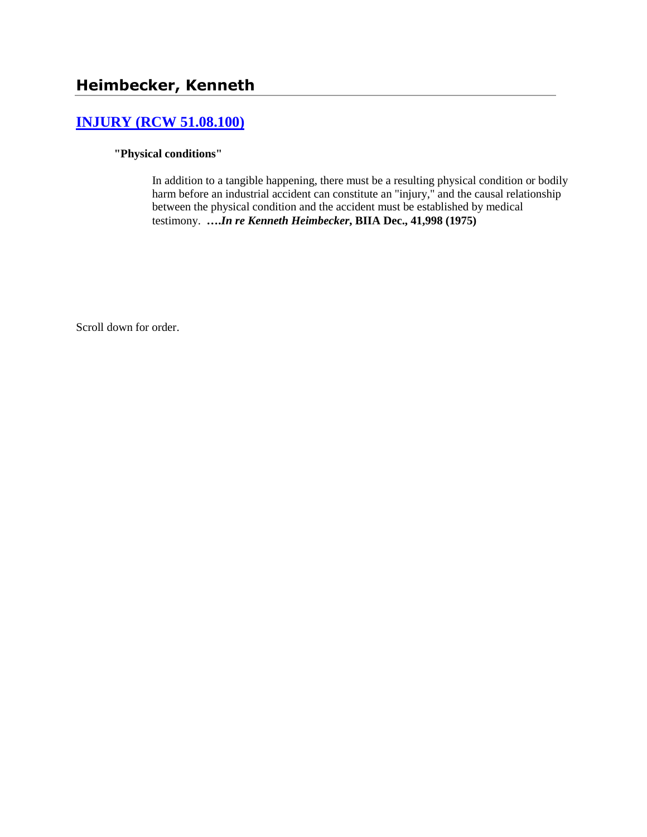# **[INJURY \(RCW 51.08.100\)](http://www.biia.wa.gov/SDSubjectIndex.html#INJURY)**

### **"Physical conditions"**

In addition to a tangible happening, there must be a resulting physical condition or bodily harm before an industrial accident can constitute an "injury," and the causal relationship between the physical condition and the accident must be established by medical testimony. **….***In re Kenneth Heimbecker***, BIIA Dec., 41,998 (1975)** 

Scroll down for order.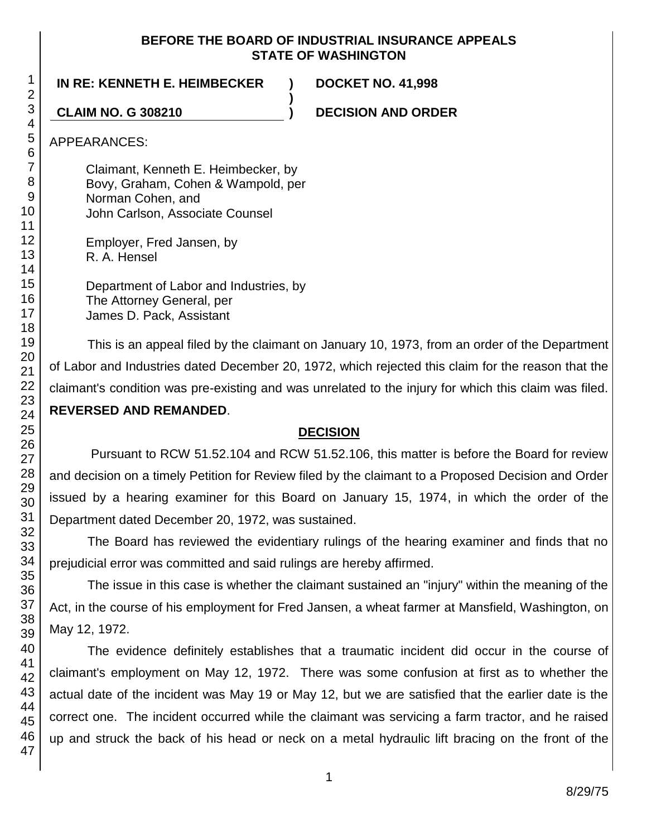### **BEFORE THE BOARD OF INDUSTRIAL INSURANCE APPEALS STATE OF WASHINGTON**

**)**

## **IN RE: KENNETH E. HEIMBECKER ) DOCKET NO. 41,998**

**CLAIM NO. G 308210 ) DECISION AND ORDER**

APPEARANCES:

Claimant, Kenneth E. Heimbecker, by Bovy, Graham, Cohen & Wampold, per Norman Cohen, and John Carlson, Associate Counsel

Employer, Fred Jansen, by R. A. Hensel

Department of Labor and Industries, by The Attorney General, per James D. Pack, Assistant

This is an appeal filed by the claimant on January 10, 1973, from an order of the Department of Labor and Industries dated December 20, 1972, which rejected this claim for the reason that the claimant's condition was pre-existing and was unrelated to the injury for which this claim was filed. **REVERSED AND REMANDED**.

## **DECISION**

Pursuant to RCW 51.52.104 and RCW 51.52.106, this matter is before the Board for review and decision on a timely Petition for Review filed by the claimant to a Proposed Decision and Order issued by a hearing examiner for this Board on January 15, 1974, in which the order of the Department dated December 20, 1972, was sustained.

The Board has reviewed the evidentiary rulings of the hearing examiner and finds that no prejudicial error was committed and said rulings are hereby affirmed.

The issue in this case is whether the claimant sustained an "injury" within the meaning of the Act, in the course of his employment for Fred Jansen, a wheat farmer at Mansfield, Washington, on May 12, 1972.

The evidence definitely establishes that a traumatic incident did occur in the course of claimant's employment on May 12, 1972. There was some confusion at first as to whether the actual date of the incident was May 19 or May 12, but we are satisfied that the earlier date is the correct one. The incident occurred while the claimant was servicing a farm tractor, and he raised up and struck the back of his head or neck on a metal hydraulic lift bracing on the front of the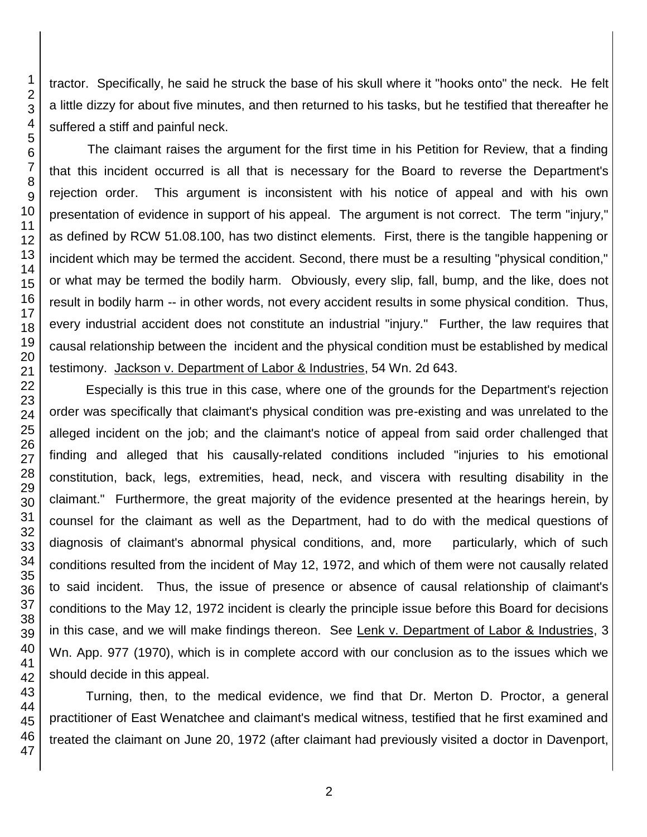tractor. Specifically, he said he struck the base of his skull where it "hooks onto" the neck. He felt a little dizzy for about five minutes, and then returned to his tasks, but he testified that thereafter he suffered a stiff and painful neck.

The claimant raises the argument for the first time in his Petition for Review, that a finding that this incident occurred is all that is necessary for the Board to reverse the Department's rejection order. This argument is inconsistent with his notice of appeal and with his own presentation of evidence in support of his appeal. The argument is not correct. The term "injury," as defined by RCW 51.08.100, has two distinct elements. First, there is the tangible happening or incident which may be termed the accident. Second, there must be a resulting "physical condition," or what may be termed the bodily harm. Obviously, every slip, fall, bump, and the like, does not result in bodily harm -- in other words, not every accident results in some physical condition. Thus, every industrial accident does not constitute an industrial "injury." Further, the law requires that causal relationship between the incident and the physical condition must be established by medical testimony. Jackson v. Department of Labor & Industries, 54 Wn. 2d 643.

Especially is this true in this case, where one of the grounds for the Department's rejection order was specifically that claimant's physical condition was pre-existing and was unrelated to the alleged incident on the job; and the claimant's notice of appeal from said order challenged that finding and alleged that his causally-related conditions included "injuries to his emotional constitution, back, legs, extremities, head, neck, and viscera with resulting disability in the claimant." Furthermore, the great majority of the evidence presented at the hearings herein, by counsel for the claimant as well as the Department, had to do with the medical questions of diagnosis of claimant's abnormal physical conditions, and, more particularly, which of such conditions resulted from the incident of May 12, 1972, and which of them were not causally related to said incident. Thus, the issue of presence or absence of causal relationship of claimant's conditions to the May 12, 1972 incident is clearly the principle issue before this Board for decisions in this case, and we will make findings thereon. See Lenk v. Department of Labor & Industries, 3 Wn. App. 977 (1970), which is in complete accord with our conclusion as to the issues which we should decide in this appeal.

Turning, then, to the medical evidence, we find that Dr. Merton D. Proctor, a general practitioner of East Wenatchee and claimant's medical witness, testified that he first examined and treated the claimant on June 20, 1972 (after claimant had previously visited a doctor in Davenport,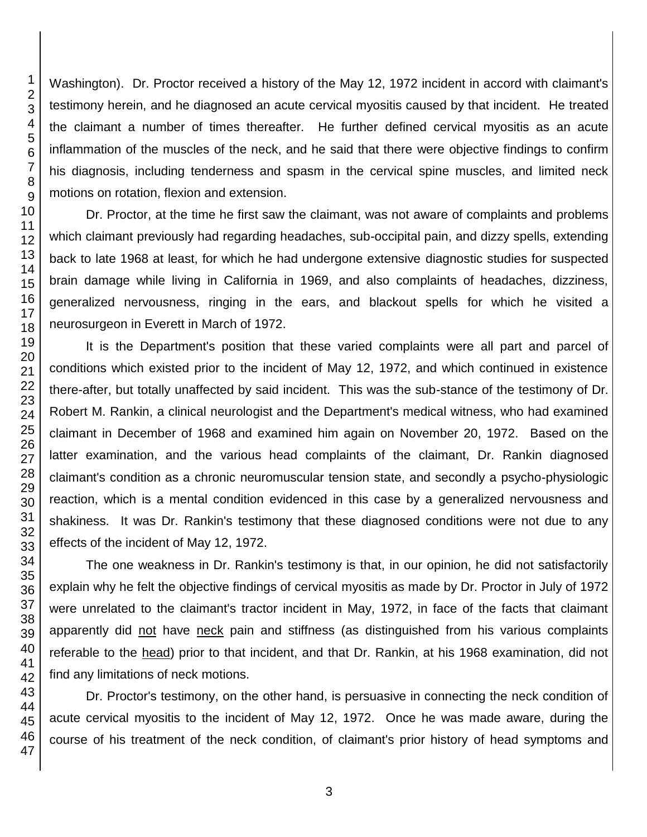Washington). Dr. Proctor received a history of the May 12, 1972 incident in accord with claimant's testimony herein, and he diagnosed an acute cervical myositis caused by that incident. He treated the claimant a number of times thereafter. He further defined cervical myositis as an acute inflammation of the muscles of the neck, and he said that there were objective findings to confirm his diagnosis, including tenderness and spasm in the cervical spine muscles, and limited neck motions on rotation, flexion and extension.

Dr. Proctor, at the time he first saw the claimant, was not aware of complaints and problems which claimant previously had regarding headaches, sub-occipital pain, and dizzy spells, extending back to late 1968 at least, for which he had undergone extensive diagnostic studies for suspected brain damage while living in California in 1969, and also complaints of headaches, dizziness, generalized nervousness, ringing in the ears, and blackout spells for which he visited a neurosurgeon in Everett in March of 1972.

It is the Department's position that these varied complaints were all part and parcel of conditions which existed prior to the incident of May 12, 1972, and which continued in existence there-after, but totally unaffected by said incident. This was the sub-stance of the testimony of Dr. Robert M. Rankin, a clinical neurologist and the Department's medical witness, who had examined claimant in December of 1968 and examined him again on November 20, 1972. Based on the latter examination, and the various head complaints of the claimant, Dr. Rankin diagnosed claimant's condition as a chronic neuromuscular tension state, and secondly a psycho-physiologic reaction, which is a mental condition evidenced in this case by a generalized nervousness and shakiness. It was Dr. Rankin's testimony that these diagnosed conditions were not due to any effects of the incident of May 12, 1972.

The one weakness in Dr. Rankin's testimony is that, in our opinion, he did not satisfactorily explain why he felt the objective findings of cervical myositis as made by Dr. Proctor in July of 1972 were unrelated to the claimant's tractor incident in May, 1972, in face of the facts that claimant apparently did not have neck pain and stiffness (as distinguished from his various complaints referable to the head) prior to that incident, and that Dr. Rankin, at his 1968 examination, did not find any limitations of neck motions.

Dr. Proctor's testimony, on the other hand, is persuasive in connecting the neck condition of acute cervical myositis to the incident of May 12, 1972. Once he was made aware, during the course of his treatment of the neck condition, of claimant's prior history of head symptoms and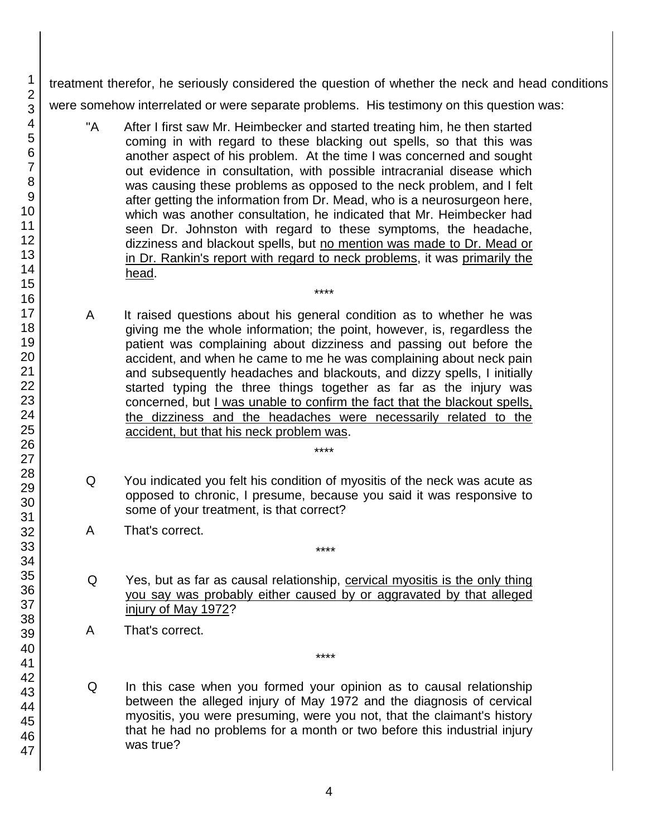treatment therefor, he seriously considered the question of whether the neck and head conditions were somehow interrelated or were separate problems. His testimony on this question was:

- "A After I first saw Mr. Heimbecker and started treating him, he then started coming in with regard to these blacking out spells, so that this was another aspect of his problem. At the time I was concerned and sought out evidence in consultation, with possible intracranial disease which was causing these problems as opposed to the neck problem, and I felt after getting the information from Dr. Mead, who is a neurosurgeon here, which was another consultation, he indicated that Mr. Heimbecker had seen Dr. Johnston with regard to these symptoms, the headache, dizziness and blackout spells, but no mention was made to Dr. Mead or in Dr. Rankin's report with regard to neck problems, it was primarily the head.
- A It raised questions about his general condition as to whether he was giving me the whole information; the point, however, is, regardless the patient was complaining about dizziness and passing out before the accident, and when he came to me he was complaining about neck pain and subsequently headaches and blackouts, and dizzy spells, I initially started typing the three things together as far as the injury was concerned, but I was unable to confirm the fact that the blackout spells, the dizziness and the headaches were necessarily related to the accident, but that his neck problem was.

\*\*\*\*

Q You indicated you felt his condition of myositis of the neck was acute as opposed to chronic, I presume, because you said it was responsive to some of your treatment, is that correct?

\*\*\*\*

\*\*\*\*

\*\*\*\*

- A That's correct.
- Q Yes, but as far as causal relationship, cervical myositis is the only thing you say was probably either caused by or aggravated by that alleged injury of May 1972?
- A That's correct.
- Q In this case when you formed your opinion as to causal relationship between the alleged injury of May 1972 and the diagnosis of cervical myositis, you were presuming, were you not, that the claimant's history that he had no problems for a month or two before this industrial injury was true?

1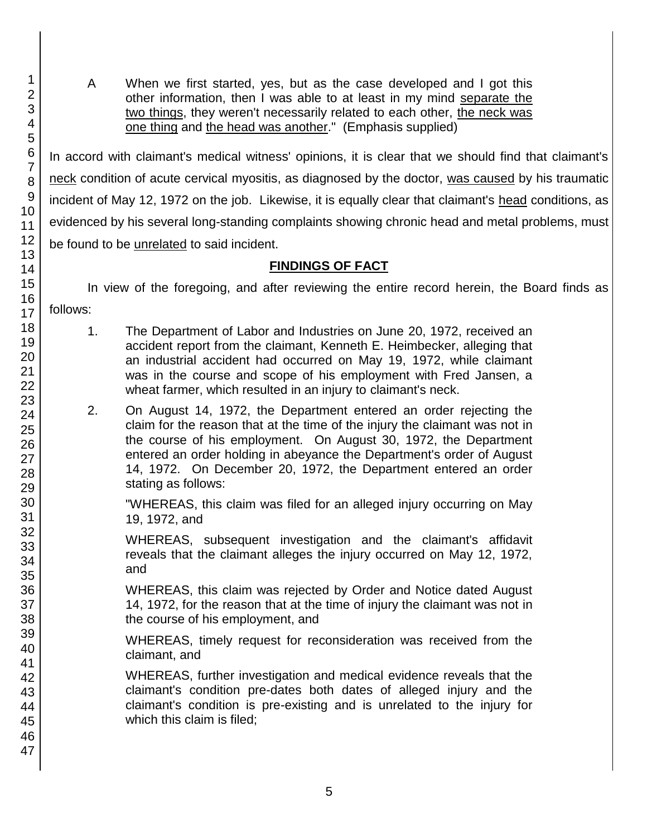A When we first started, yes, but as the case developed and I got this other information, then I was able to at least in my mind separate the two things, they weren't necessarily related to each other, the neck was one thing and the head was another." (Emphasis supplied)

In accord with claimant's medical witness' opinions, it is clear that we should find that claimant's neck condition of acute cervical myositis, as diagnosed by the doctor, was caused by his traumatic incident of May 12, 1972 on the job. Likewise, it is equally clear that claimant's head conditions, as evidenced by his several long-standing complaints showing chronic head and metal problems, must be found to be unrelated to said incident.

# **FINDINGS OF FACT**

In view of the foregoing, and after reviewing the entire record herein, the Board finds as follows:

- 1. The Department of Labor and Industries on June 20, 1972, received an accident report from the claimant, Kenneth E. Heimbecker, alleging that an industrial accident had occurred on May 19, 1972, while claimant was in the course and scope of his employment with Fred Jansen, a wheat farmer, which resulted in an injury to claimant's neck.
- 2. On August 14, 1972, the Department entered an order rejecting the claim for the reason that at the time of the injury the claimant was not in the course of his employment. On August 30, 1972, the Department entered an order holding in abeyance the Department's order of August 14, 1972. On December 20, 1972, the Department entered an order stating as follows:

"WHEREAS, this claim was filed for an alleged injury occurring on May 19, 1972, and

WHEREAS, subsequent investigation and the claimant's affidavit reveals that the claimant alleges the injury occurred on May 12, 1972, and

WHEREAS, this claim was rejected by Order and Notice dated August 14, 1972, for the reason that at the time of injury the claimant was not in the course of his employment, and

WHEREAS, timely request for reconsideration was received from the claimant, and

WHEREAS, further investigation and medical evidence reveals that the claimant's condition pre-dates both dates of alleged injury and the claimant's condition is pre-existing and is unrelated to the injury for which this claim is filed;